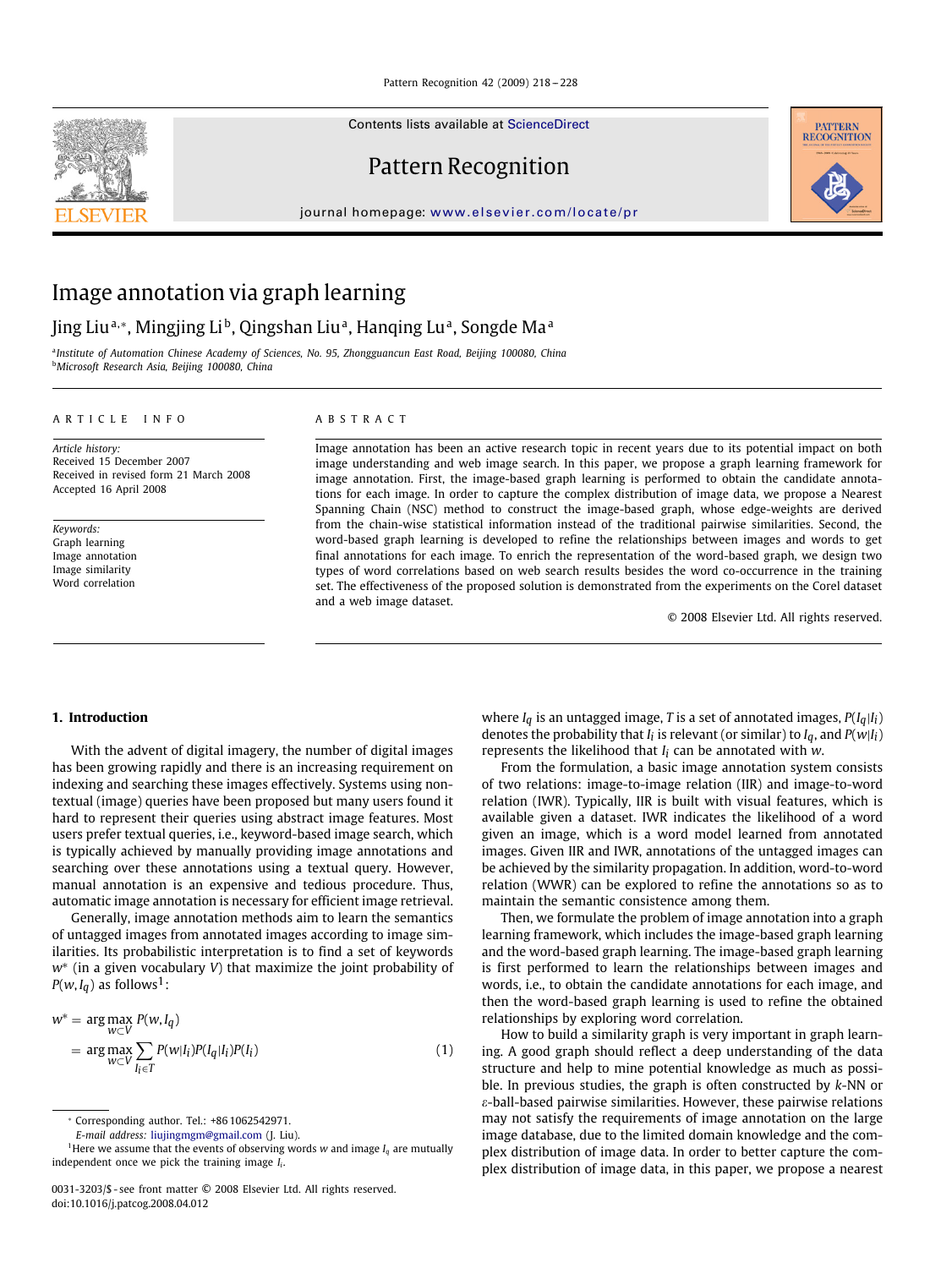Pattern Recognition 42 (2009) 218 - 228

Contents lists available at [ScienceDirect](http://www.sciencedirect.com/science/journal/pr)

Pattern Recognition

journal homepage: [www.elsevier.com/locate/pr](http://www.elsevier.com/locate/pr)



# Image annotation via graph learning

# Jing Liu<sup>a,∗</sup>, Mingjing Li<sup>b</sup>, Qingshan Liu<sup>a</sup>, Hanqing Lu<sup>a</sup>, Songde Ma<sup>a</sup>

<sup>a</sup>*Institute of Automation Chinese Academy of Sciences, No. 95, Zhongguancun East Road, Beijing 100080, China* <sup>b</sup>*Microsoft Research Asia, Beijing 100080, China*

# ARTICLE INFO ABSTRACT

*Article history:* Received 15 December 2007 Received in revised form 21 March 2008 Accepted 16 April 2008

*Keywords:* Graph learning Image annotation Image similarity Word correlation

Image annotation has been an active research topic in recent years due to its potential impact on both image understanding and web image search. In this paper, we propose a graph learning framework for image annotation. First, the image-based graph learning is performed to obtain the candidate annotations for each image. In order to capture the complex distribution of image data, we propose a Nearest Spanning Chain (NSC) method to construct the image-based graph, whose edge-weights are derived from the chain-wise statistical information instead of the traditional pairwise similarities. Second, the word-based graph learning is developed to refine the relationships between images and words to get final annotations for each image. To enrich the representation of the word-based graph, we design two types of word correlations based on web search results besides the word co-occurrence in the training set. The effectiveness of the proposed solution is demonstrated from the experiments on the Corel dataset and a web image dataset.

© 2008 Elsevier Ltd. All rights reserved.

# **1. Introduction**

With the advent of digital imagery, the number of digital images has been growing rapidly and there is an increasing requirement on indexing and searching these images effectively. Systems using nontextual (image) queries have been proposed but many users found it hard to represent their queries using abstract image features. Most users prefer textual queries, i.e., keyword-based image search, which is typically achieved by manually providing image annotations and searching over these annotations using a textual query. However, manual annotation is an expensive and tedious procedure. Thus, automatic image annotation is necessary for efficient image retrieval.

Generally, image annotation methods aim to learn the semantics of untagged images from annotated images according to image similarities. Its probabilistic interpretation is to find a set of keywords *w*<sup>∗</sup> (in a given vocabulary *V*) that maximize the joint probability of  $P(w, I_q)$  as follows<sup>1</sup>:

$$
w^* = \underset{w \subset V}{\arg \max} P(w, I_q)
$$
  
= 
$$
\underset{w \subset V}{\arg \max} \sum_{I_i \in T} P(w|I_i)P(I_q|I_i)P(I_i)
$$
 (1)

*E-mail address:* [liujingmgm@gmail.com](file:liujingmgm@gmail.com) (J. Liu).

where *Iq* is an untagged image, *T* is a set of annotated images, *P*(*Iq*|*Ii*) denotes the probability that  $I_i$  is relevant (or similar) to  $I_q$ , and  $P(w|I_i)$ represents the likelihood that *Ii* can be annotated with *w*.

From the formulation, a basic image annotation system consists of two relations: image-to-image relation (IIR) and image-to-word relation (IWR). Typically, IIR is built with visual features, which is available given a dataset. IWR indicates the likelihood of a word given an image, which is a word model learned from annotated images. Given IIR and IWR, annotations of the untagged images can be achieved by the similarity propagation. In addition, word-to-word relation (WWR) can be explored to refine the annotations so as to maintain the semantic consistence among them.

Then, we formulate the problem of image annotation into a graph learning framework, which includes the image-based graph learning and the word-based graph learning. The image-based graph learning is first performed to learn the relationships between images and words, i.e., to obtain the candidate annotations for each image, and then the word-based graph learning is used to refine the obtained relationships by exploring word correlation.

How to build a similarity graph is very important in graph learning. A good graph should reflect a deep understanding of the data structure and help to mine potential knowledge as much as possible. In previous studies, the graph is often constructed by *k*-NN or  $\varepsilon$ -ball-based pairwise similarities. However, these pairwise relations may not satisfy the requirements of image annotation on the large image database, due to the limited domain knowledge and the complex distribution of image data. In order to better capture the complex distribution of image data, in this paper, we propose a nearest



<sup>∗</sup> Corresponding author. Tel.: +86 1062542971.

<sup>&</sup>lt;sup>1</sup>Here we assume that the events of observing words  $w$  and image  $I_q$  are mutually independent once we pick the training image *Ii*.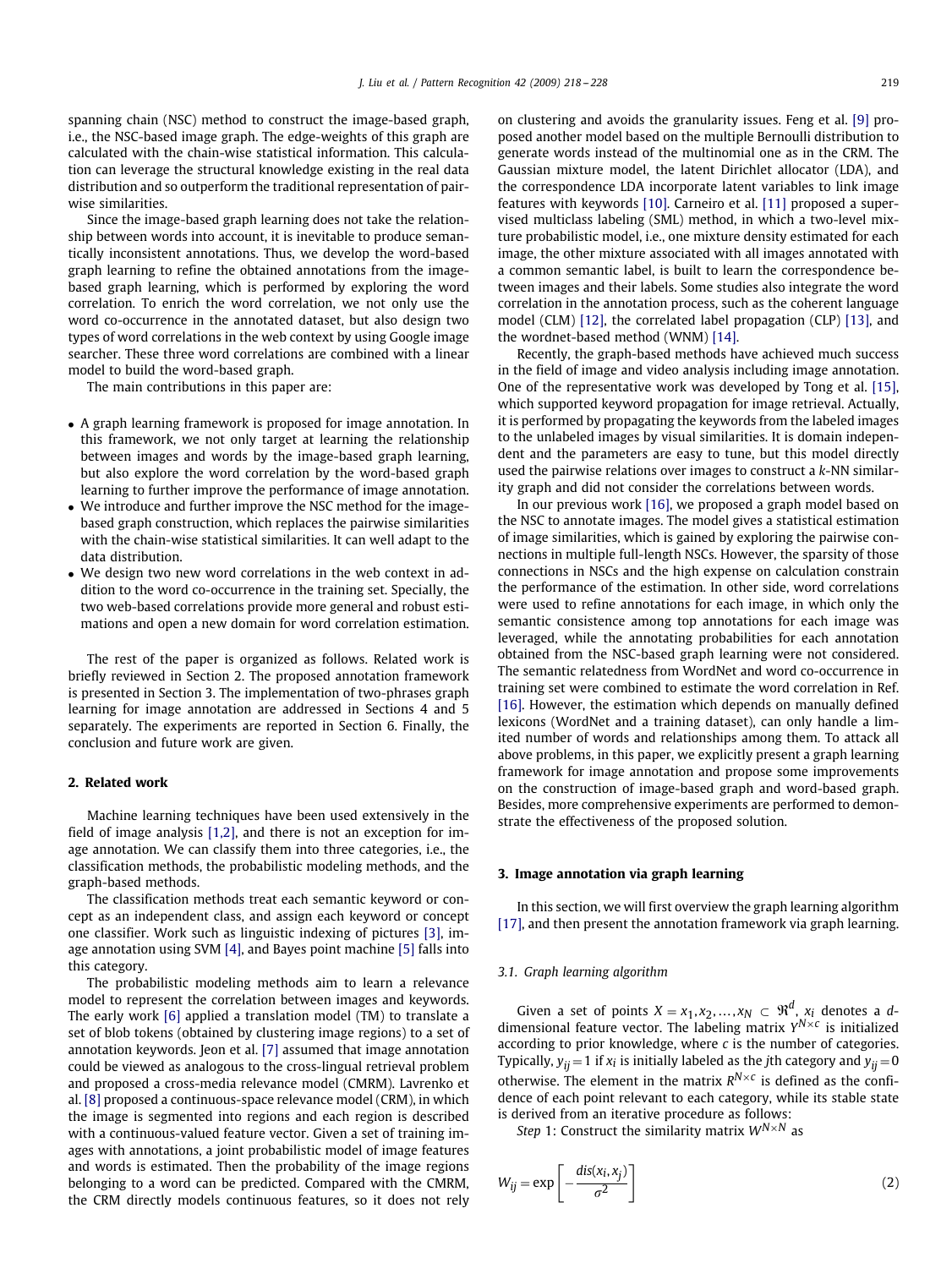spanning chain (NSC) method to construct the image-based graph, i.e., the NSC-based image graph. The edge-weights of this graph are calculated with the chain-wise statistical information. This calculation can leverage the structural knowledge existing in the real data distribution and so outperform the traditional representation of pairwise similarities.

Since the image-based graph learning does not take the relationship between words into account, it is inevitable to produce semantically inconsistent annotations. Thus, we develop the word-based graph learning to refine the obtained annotations from the imagebased graph learning, which is performed by exploring the word correlation. To enrich the word correlation, we not only use the word co-occurrence in the annotated dataset, but also design two types of word correlations in the web context by using Google image searcher. These three word correlations are combined with a linear model to build the word-based graph.

The main contributions in this paper are:

- A graph learning framework is proposed for image annotation. In this framework, we not only target at learning the relationship between images and words by the image-based graph learning, but also explore the word correlation by the word-based graph learning to further improve the performance of image annotation.
- We introduce and further improve the NSC method for the imagebased graph construction, which replaces the pairwise similarities with the chain-wise statistical similarities. It can well adapt to the data distribution.
- We design two new word correlations in the web context in addition to the word co-occurrence in the training set. Specially, the two web-based correlations provide more general and robust estimations and open a new domain for word correlation estimation.

The rest of the paper is organized as follows. Related work is briefly reviewed in Section 2. The proposed annotation framework is presented in Section 3. The implementation of two-phrases graph learning for image annotation are addressed in Sections 4 and 5 separately. The experiments are reported in Section 6. Finally, the conclusion and future work are given.

# **2. Related work**

Machine learning techniques have been used extensively in the field of image analysis [1,2], and there is not an exception for image annotation. We can classify them into three categories, i.e., the classification methods, the probabilistic modeling methods, and the graph-based methods.

The classification methods treat each semantic keyword or concept as an independent class, and assign each keyword or concept one classifier. Work such as linguistic indexing of pictures [\[3\],](#page-10-0) image annotation using SVM [\[4\],](#page-10-1) and Bayes point machine [\[5\]](#page-10-2) falls into this category.

The probabilistic modeling methods aim to learn a relevance model to represent the correlation between images and keywords. The early work [\[6\]](#page-10-3) applied a translation model (TM) to translate a set of blob tokens (obtained by clustering image regions) to a set of annotation keywords. Jeon et al. [\[7\]](#page-10-4) assumed that image annotation could be viewed as analogous to the cross-lingual retrieval problem and proposed a cross-media relevance model (CMRM). Lavrenko et al. [\[8\]](#page-10-5) proposed a continuous-space relevance model (CRM), in which the image is segmented into regions and each region is described with a continuous-valued feature vector. Given a set of training images with annotations, a joint probabilistic model of image features and words is estimated. Then the probability of the image regions belonging to a word can be predicted. Compared with the CMRM, the CRM directly models continuous features, so it does not rely on clustering and avoids the granularity issues. Feng et al. [\[9\]](#page-10-6) proposed another model based on the multiple Bernoulli distribution to generate words instead of the multinomial one as in the CRM. The Gaussian mixture model, the latent Dirichlet allocator (LDA), and the correspondence LDA incorporate latent variables to link image features with keywords [\[10\].](#page-10-7) Carneiro et al. [\[11\]](#page-10-8) proposed a supervised multiclass labeling (SML) method, in which a two-level mixture probabilistic model, i.e., one mixture density estimated for each image, the other mixture associated with all images annotated with a common semantic label, is built to learn the correspondence between images and their labels. Some studies also integrate the word correlation in the annotation process, such as the coherent language model (CLM) [\[12\],](#page-10-9) the correlated label propagation (CLP) [\[13\],](#page-10-10) and the wordnet-based method (WNM) [\[14\].](#page-10-11)

Recently, the graph-based methods have achieved much success in the field of image and video analysis including image annotation. One of the representative work was developed by Tong et al. [\[15\],](#page-10-12) which supported keyword propagation for image retrieval. Actually, it is performed by propagating the keywords from the labeled images to the unlabeled images by visual similarities. It is domain independent and the parameters are easy to tune, but this model directly used the pairwise relations over images to construct a *k*-NN similarity graph and did not consider the correlations between words.

In our previous work [\[16\],](#page-10-13) we proposed a graph model based on the NSC to annotate images. The model gives a statistical estimation of image similarities, which is gained by exploring the pairwise connections in multiple full-length NSCs. However, the sparsity of those connections in NSCs and the high expense on calculation constrain the performance of the estimation. In other side, word correlations were used to refine annotations for each image, in which only the semantic consistence among top annotations for each image was leveraged, while the annotating probabilities for each annotation obtained from the NSC-based graph learning were not considered. The semantic relatedness from WordNet and word co-occurrence in training set were combined to estimate the word correlation in Ref. [\[16\].](#page-10-13) However, the estimation which depends on manually defined lexicons (WordNet and a training dataset), can only handle a limited number of words and relationships among them. To attack all above problems, in this paper, we explicitly present a graph learning framework for image annotation and propose some improvements on the construction of image-based graph and word-based graph. Besides, more comprehensive experiments are performed to demonstrate the effectiveness of the proposed solution.

# **3. Image annotation via graph learning**

In this section, we will first overview the graph learning algorithm [\[17\],](#page-10-14) and then present the annotation framework via graph learning.

# *3.1. Graph learning algorithm*

Given a set of points  $X = x_1, x_2, ..., x_N \subset \Re^d$ ,  $x_i$  denotes a ddimensional feature vector. The labeling matrix *YN*×*<sup>c</sup>* is initialized according to prior knowledge, where *c* is the number of categories. Typically,  $y_{ij} = 1$  if  $x_i$  is initially labeled as the *j*th category and  $y_{ij} = 0$ otherwise. The element in the matrix  $R^{N \times c}$  is defined as the confidence of each point relevant to each category, while its stable state is derived from an iterative procedure as follows:

*Step* 1: Construct the similarity matrix *WN*×*<sup>N</sup>* as

$$
W_{ij} = \exp\left[-\frac{dis(x_i, x_j)}{\sigma^2}\right]
$$
 (2)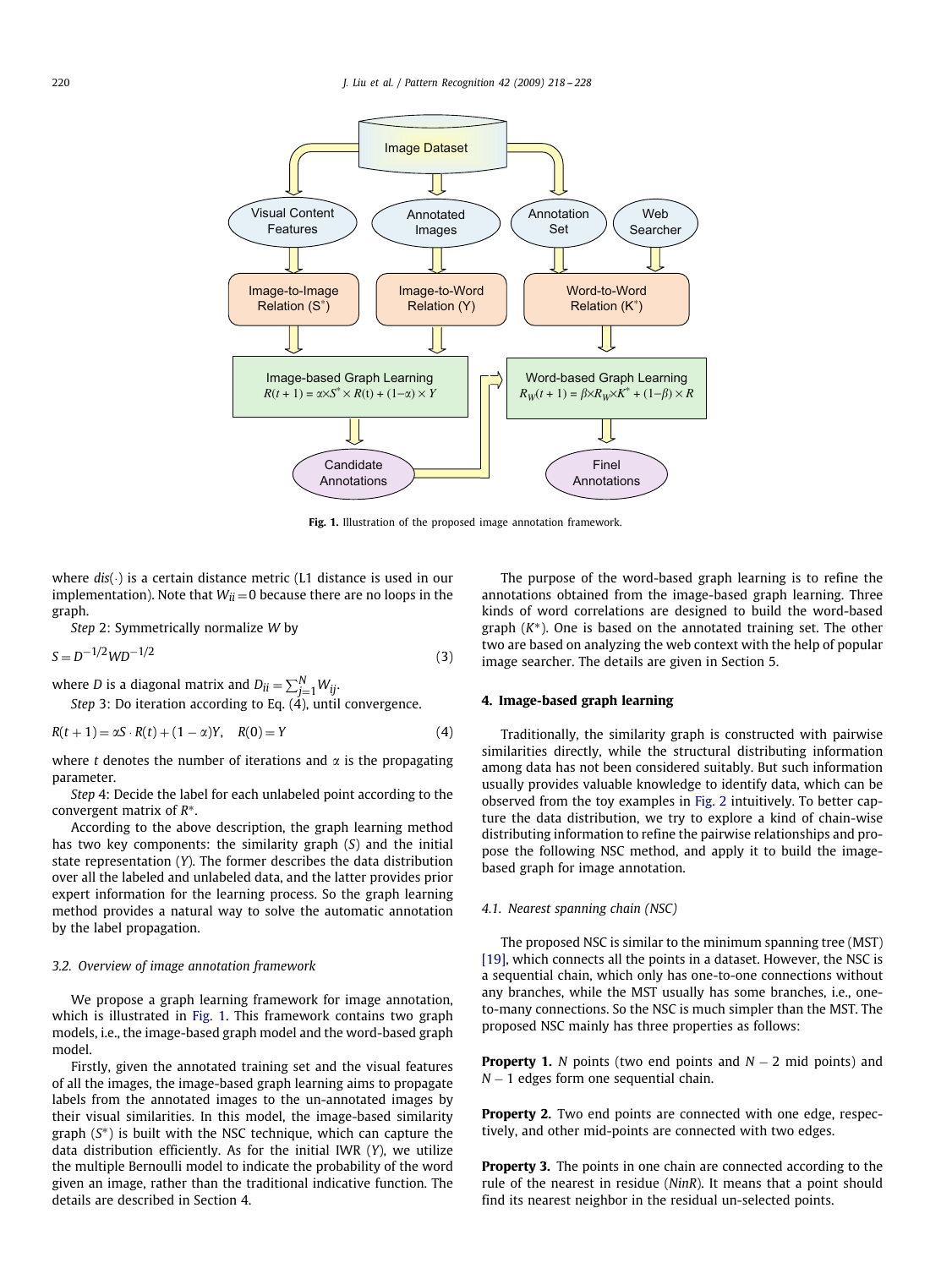

**Fig. 1.** Illustration of the proposed image annotation framework.

where *dis*(·) is a certain distance metric (L1 distance is used in our implementation). Note that  $W_{ii} = 0$  because there are no loops in the graph.

*Step* 2: Symmetrically normalize *W* by

$$
S = D^{-1/2} W D^{-1/2}
$$
 (3)

where *D* is a diagonal matrix and  $D_{ii} = \sum_{j=1}^{N} W_{ij}.$ 

*Step* 3: Do iteration according to Eq. (4), until convergence.

$$
R(t + 1) = \alpha S \cdot R(t) + (1 - \alpha)Y, \quad R(0) = Y \tag{4}
$$

where *t* denotes the number of iterations and  $\alpha$  is the propagating parameter.

*Step* 4: Decide the label for each unlabeled point according to the convergent matrix of *R*∗.

According to the above description, the graph learning method has two key components: the similarity graph (*S*) and the initial state representation (*Y*). The former describes the data distribution over all the labeled and unlabeled data, and the latter provides prior expert information for the learning process. So the graph learning method provides a natural way to solve the automatic annotation by the label propagation.

#### *3.2. Overview of image annotation framework*

We propose a graph learning framework for image annotation, which is illustrated in [Fig. 1.](#page-2-0) This framework contains two graph models, i.e., the image-based graph model and the word-based graph model.

Firstly, given the annotated training set and the visual features of all the images, the image-based graph learning aims to propagate labels from the annotated images to the un-annotated images by their visual similarities. In this model, the image-based similarity graph (*S*∗) is built with the NSC technique, which can capture the data distribution efficiently. As for the initial IWR (*Y*), we utilize the multiple Bernoulli model to indicate the probability of the word given an image, rather than the traditional indicative function. The details are described in Section 4.

<span id="page-2-0"></span>The purpose of the word-based graph learning is to refine the annotations obtained from the image-based graph learning. Three kinds of word correlations are designed to build the word-based graph (*K*∗). One is based on the annotated training set. The other two are based on analyzing the web context with the help of popular image searcher. The details are given in Section 5.

# **4. Image-based graph learning**

Traditionally, the similarity graph is constructed with pairwise similarities directly, while the structural distributing information among data has not been considered suitably. But such information usually provides valuable knowledge to identify data, which can be observed from the toy examples in [Fig. 2](#page-3-0) intuitively. To better capture the data distribution, we try to explore a kind of chain-wise distributing information to refine the pairwise relationships and propose the following NSC method, and apply it to build the imagebased graph for image annotation.

# *4.1. Nearest spanning chain (NSC)*

The proposed NSC is similar to the minimum spanning tree (MST) [\[19\],](#page-10-15) which connects all the points in a dataset. However, the NSC is a sequential chain, which only has one-to-one connections without any branches, while the MST usually has some branches, i.e., oneto-many connections. So the NSC is much simpler than the MST. The proposed NSC mainly has three properties as follows:

**Property 1.** *N* points (two end points and *N* − 2 mid points) and *N* − 1 edges form one sequential chain.

**Property 2.** Two end points are connected with one edge, respectively, and other mid-points are connected with two edges.

**Property 3.** The points in one chain are connected according to the rule of the nearest in residue (*NinR*). It means that a point should find its nearest neighbor in the residual un-selected points.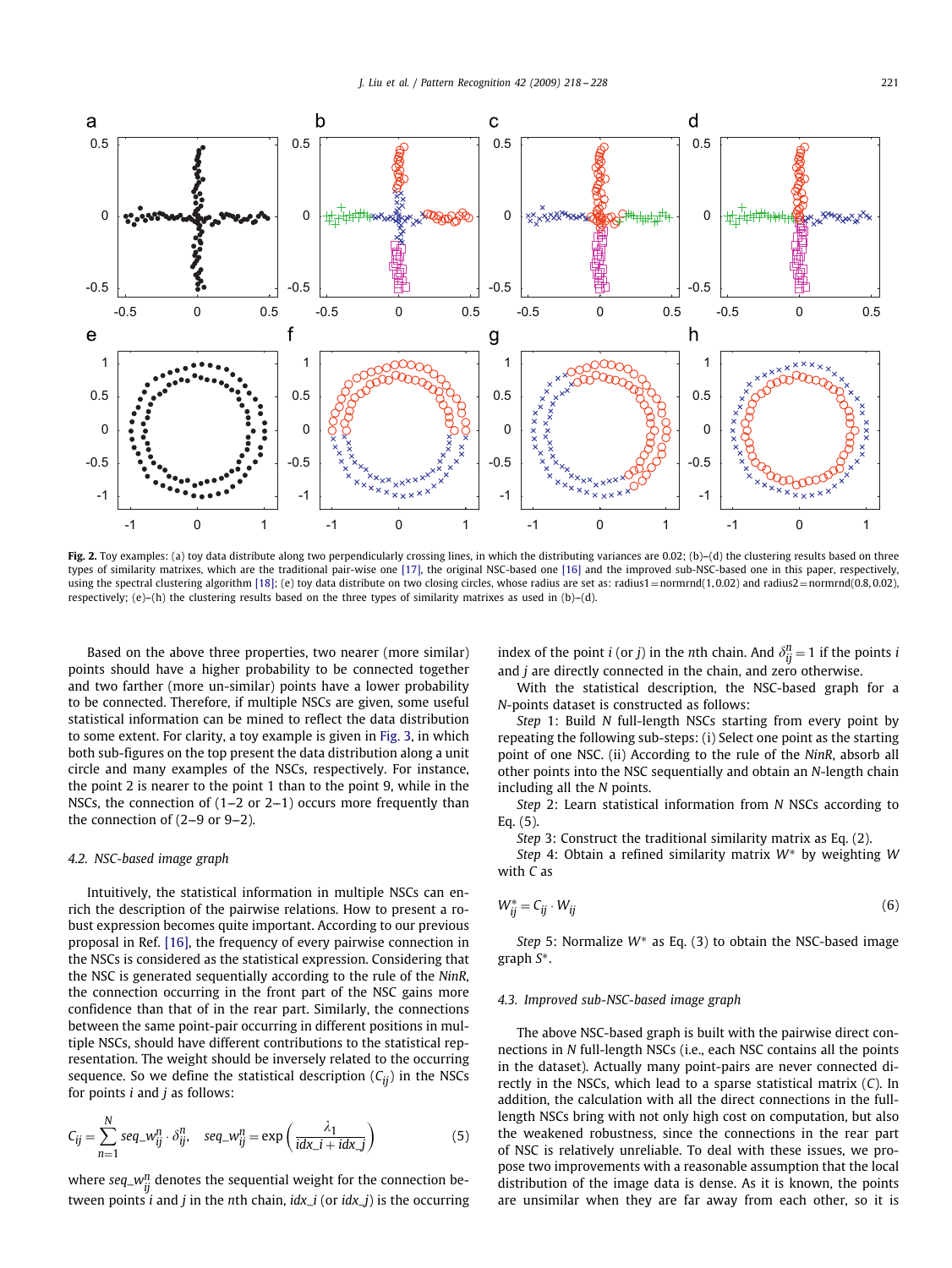

Fig. 2. Toy examples: (a) toy data distribute along two perpendicularly crossing lines, in which the distributing variances are 0.02; (b)-(d) the clustering results based on three types of similarity matrixes, which are the traditional pair-wise one [\[17\],](#page-10-14) the original NSC-based one [\[16\]](#page-10-13) and the improved sub-NSC-based one in this paper, respectively, using the spectral clustering algorithm [\[18\];](#page-10-16) (e) toy data distribute on two closing circles, whose radius are set as: radius1=normrnd(1,0.02) and radius2=normrnd(0.8, 0.02), respectively; (e)-(h) the clustering results based on the three types of similarity matrixes as used in  $(b)$ -(d).

Based on the above three properties, two nearer (more similar) points should have a higher probability to be connected together and two farther (more un-similar) points have a lower probability to be connected. Therefore, if multiple NSCs are given, some useful statistical information can be mined to reflect the data distribution to some extent. For clarity, a toy example is given in [Fig. 3,](#page-4-0) in which both sub-figures on the top present the data distribution along a unit circle and many examples of the NSCs, respectively. For instance, the point 2 is nearer to the point 1 than to the point 9, while in the NSCs, the connection of  $(1-2 \text{ or } 2-1)$  occurs more frequently than the connection of  $(2-9)$  or  $9-2$ ).

# *4.2. NSC-based image graph*

Intuitively, the statistical information in multiple NSCs can enrich the description of the pairwise relations. How to present a robust expression becomes quite important. According to our previous proposal in Ref. [\[16\],](#page-10-13) the frequency of every pairwise connection in the NSCs is considered as the statistical expression. Considering that the NSC is generated sequentially according to the rule of the *NinR*, the connection occurring in the front part of the NSC gains more confidence than that of in the rear part. Similarly, the connections between the same point-pair occurring in different positions in multiple NSCs, should have different contributions to the statistical representation. The weight should be inversely related to the occurring sequence. So we define the statistical description  $(C_{ij})$  in the NSCs for points *i* and *j* as follows:

$$
C_{ij} = \sum_{n=1}^{N} seq_{-}w_{ij}^{n} \cdot \delta_{ij}^{n}, \quad seq_{-}w_{ij}^{n} = \exp\left(\frac{\lambda_{1}}{idx_{-}i + idx_{-}j}\right)
$$
 (5)

where *seq*\_*w<sup>n</sup> ij* denotes the sequential weight for the connection between points *i* and *j* in the *n*th chain, *idx*\_*i* (or *idx*\_*j*) is the occurring

<span id="page-3-0"></span>index of the point *i* (or *j*) in the *n*th chain. And  $\delta_{ij}^n = 1$  if the points *i* and *j* are directly connected in the chain, and zero otherwise.

With the statistical description, the NSC-based graph for a *N*-points dataset is constructed as follows:

*Step* 1: Build *N* full-length NSCs starting from every point by repeating the following sub-steps: (i) Select one point as the starting point of one NSC. (ii) According to the rule of the *NinR*, absorb all other points into the NSC sequentially and obtain an *N*-length chain including all the *N* points.

*Step* 2: Learn statistical information from *N* NSCs according to Eq. (5).

*Step* 3: Construct the traditional similarity matrix as Eq. (2).

*Step* 4: Obtain a refined similarity matrix *W*<sup>∗</sup> by weighting *W* with *C* as

$$
W_{ij}^* = C_{ij} \cdot W_{ij} \tag{6}
$$

*Step* 5: Normalize *W*<sup>∗</sup> as Eq. (3) to obtain the NSC-based image graph *S*∗.

# *4.3. Improved sub-NSC-based image graph*

The above NSC-based graph is built with the pairwise direct connections in *N* full-length NSCs (i.e., each NSC contains all the points in the dataset). Actually many point-pairs are never connected directly in the NSCs, which lead to a sparse statistical matrix (*C*). In addition, the calculation with all the direct connections in the fulllength NSCs bring with not only high cost on computation, but also the weakened robustness, since the connections in the rear part of NSC is relatively unreliable. To deal with these issues, we propose two improvements with a reasonable assumption that the local distribution of the image data is dense. As it is known, the points are unsimilar when they are far away from each other, so it is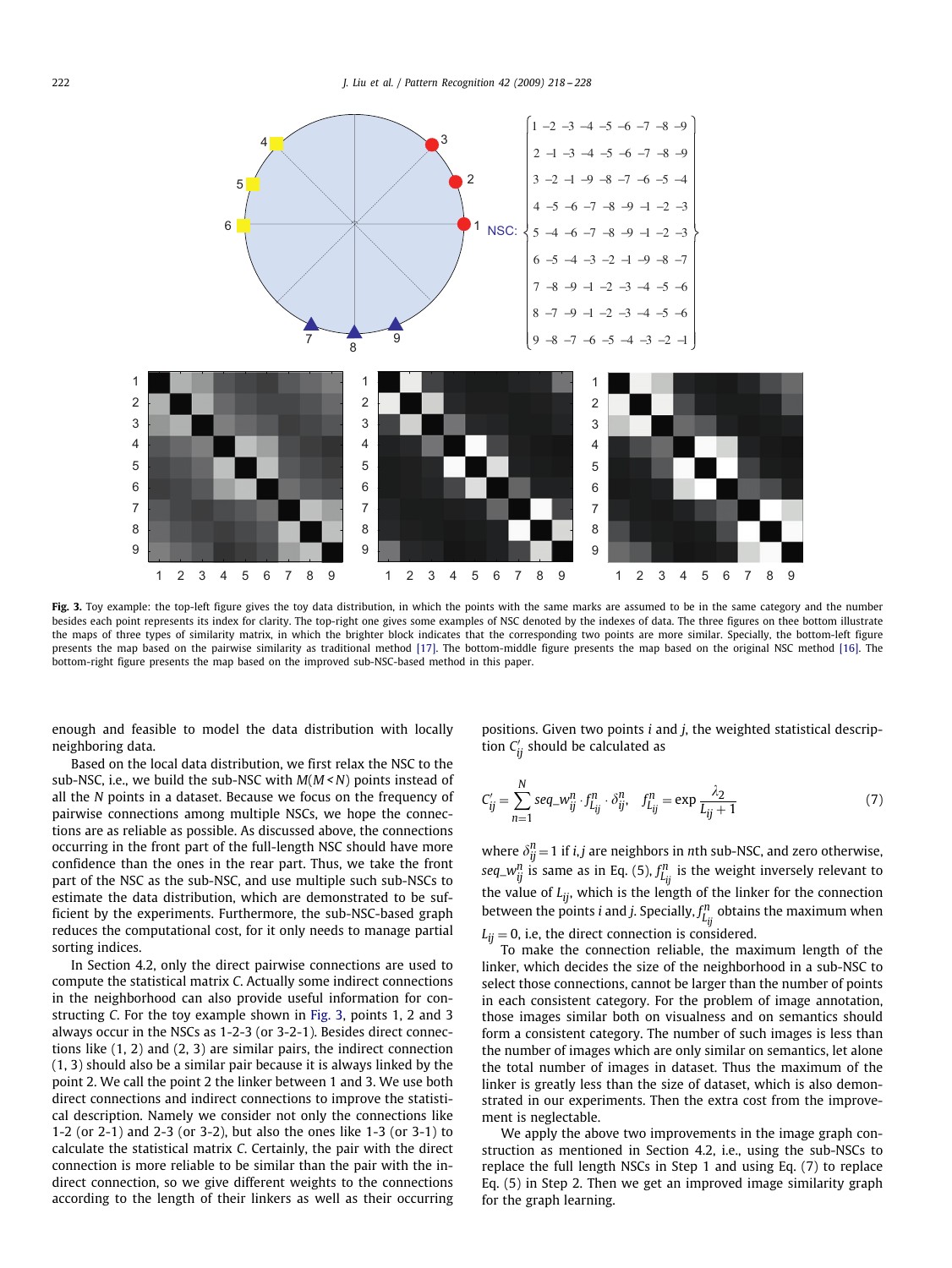

Fig. 3. Toy example: the top-left figure gives the toy data distribution, in which the points with the same marks are assumed to be in the same category and the number besides each point represents its index for clarity. The top-right one gives some examples of NSC denoted by the indexes of data. The three figures on thee bottom illustrate the maps of three types of similarity matrix, in which the brighter block indicates that the corresponding two points are more similar. Specially, the bottom-left figure presents the map based on the pairwise similarity as traditional method [\[17\].](#page-10-14) The bottom-middle figure presents the map based on the original NSC method [\[16\].](#page-10-13) The bottom-right figure presents the map based on the improved sub-NSC-based method in this paper.

enough and feasible to model the data distribution with locally neighboring data.

Based on the local data distribution, we first relax the NSC to the sub-NSC, i.e., we build the sub-NSC with *M*(*M<N*) points instead of all the *N* points in a dataset. Because we focus on the frequency of pairwise connections among multiple NSCs, we hope the connections are as reliable as possible. As discussed above, the connections occurring in the front part of the full-length NSC should have more confidence than the ones in the rear part. Thus, we take the front part of the NSC as the sub-NSC, and use multiple such sub-NSCs to estimate the data distribution, which are demonstrated to be sufficient by the experiments. Furthermore, the sub-NSC-based graph reduces the computational cost, for it only needs to manage partial sorting indices.

In Section 4.2, only the direct pairwise connections are used to compute the statistical matrix *C*. Actually some indirect connections in the neighborhood can also provide useful information for constructing *C*. For the toy example shown in [Fig. 3,](#page-4-0) points 1, 2 and 3 always occur in the NSCs as 1-2-3 (or 3-2-1). Besides direct connections like (1, 2) and (2, 3) are similar pairs, the indirect connection (1, 3) should also be a similar pair because it is always linked by the point 2. We call the point 2 the linker between 1 and 3. We use both direct connections and indirect connections to improve the statistical description. Namely we consider not only the connections like 1-2 (or 2-1) and 2-3 (or 3-2), but also the ones like 1-3 (or 3-1) to calculate the statistical matrix *C*. Certainly, the pair with the direct connection is more reliable to be similar than the pair with the indirect connection, so we give different weights to the connections according to the length of their linkers as well as their occurring

<span id="page-4-0"></span>positions. Given two points *i* and *j*, the weighted statistical description *C ij* should be calculated as

$$
C'_{ij} = \sum_{n=1}^{N} seq_{-}w_{ij}^{n} \cdot f_{L_{ij}}^{n} \cdot \delta_{ij}^{n}, \quad f_{L_{ij}}^{n} = \exp \frac{\lambda_{2}}{L_{ij} + 1}
$$
 (7)

where  $\delta_{ij}^n = 1$  if *i, j* are neighbors in *n*th sub-NSC, and zero otherwise,  $seq\_w_{ij}^n$  is same as in Eq. (5),  $f_{L_{ij}}^n$  is the weight inversely relevant to the value of  $L_{ij}$ , which is the length of the linker for the connection between the points  $i$  and  $j$ . Specially,  $f_{L_{ij}}^n$  obtains the maximum when  $L_{ij} = 0$ , i.e, the direct connection is considered.

To make the connection reliable, the maximum length of the linker, which decides the size of the neighborhood in a sub-NSC to select those connections, cannot be larger than the number of points in each consistent category. For the problem of image annotation, those images similar both on visualness and on semantics should form a consistent category. The number of such images is less than the number of images which are only similar on semantics, let alone the total number of images in dataset. Thus the maximum of the linker is greatly less than the size of dataset, which is also demonstrated in our experiments. Then the extra cost from the improvement is neglectable.

We apply the above two improvements in the image graph construction as mentioned in Section 4.2, i.e., using the sub-NSCs to replace the full length NSCs in Step 1 and using Eq. (7) to replace Eq. (5) in Step 2. Then we get an improved image similarity graph for the graph learning.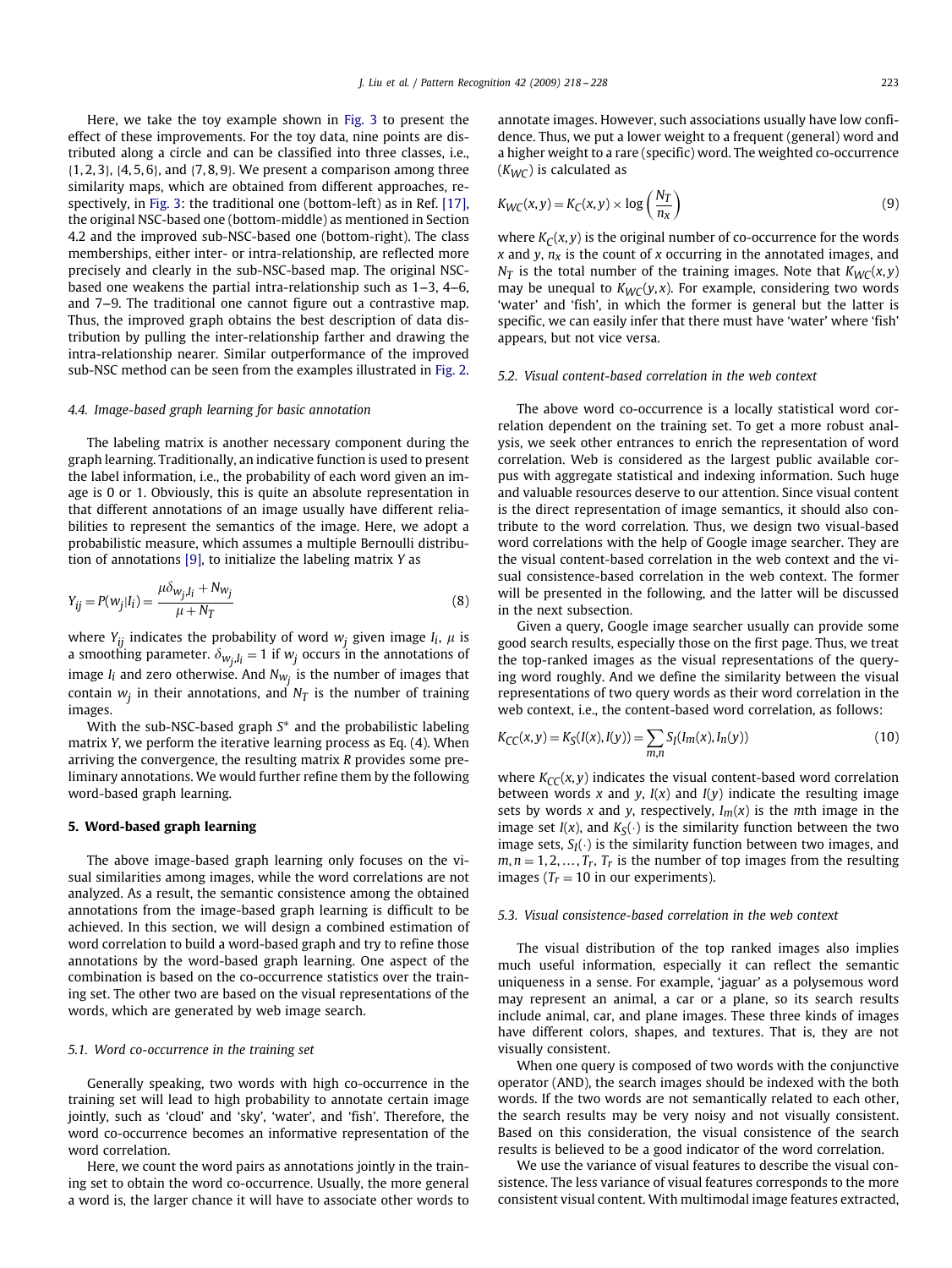Here, we take the toy example shown in [Fig. 3](#page-4-0) to present the effect of these improvements. For the toy data, nine points are distributed along a circle and can be classified into three classes, i.e., {1, 2, 3}, {4, 5, 6}, and {7, 8, 9}. We present a comparison among three similarity maps, which are obtained from different approaches, respectively, in [Fig. 3:](#page-4-0) the traditional one (bottom-left) as in Ref. [\[17\],](#page-10-14) the original NSC-based one (bottom-middle) as mentioned in Section 4.2 and the improved sub-NSC-based one (bottom-right). The class memberships, either inter- or intra-relationship, are reflected more precisely and clearly in the sub-NSC-based map. The original NSCbased one weakens the partial intra-relationship such as  $1-3$ ,  $4-6$ , and 7-9. The traditional one cannot figure out a contrastive map. Thus, the improved graph obtains the best description of data distribution by pulling the inter-relationship farther and drawing the intra-relationship nearer. Similar outperformance of the improved sub-NSC method can be seen from the examples illustrated in [Fig. 2.](#page-3-0)

# *4.4. Image-based graph learning for basic annotation*

The labeling matrix is another necessary component during the graph learning. Traditionally, an indicative function is used to present the label information, i.e., the probability of each word given an image is 0 or 1. Obviously, this is quite an absolute representation in that different annotations of an image usually have different reliabilities to represent the semantics of the image. Here, we adopt a probabilistic measure, which assumes a multiple Bernoulli distribution of annotations [\[9\],](#page-10-6) to initialize the labeling matrix *Y* as

$$
Y_{ij} = P(w_j | I_i) = \frac{\mu \delta_{w_j, I_i} + N_{w_j}}{\mu + N_T} \tag{8}
$$

where  $Y_{ij}$  indicates the probability of word  $w_j$  given image  $I_i$ ,  $\mu$  is a smoothing parameter.  $\delta_{w_j,l_i}=1$  if  $w_j$  occurs in the annotations of image *Ii* and zero otherwise. And *Nwj* is the number of images that contain  $w_i$  in their annotations, and  $N_T$  is the number of training images.

With the sub-NSC-based graph *S*<sup>∗</sup> and the probabilistic labeling matrix *Y*, we perform the iterative learning process as Eq. (4). When arriving the convergence, the resulting matrix *R* provides some preliminary annotations. We would further refine them by the following word-based graph learning.

# **5. Word-based graph learning**

The above image-based graph learning only focuses on the visual similarities among images, while the word correlations are not analyzed. As a result, the semantic consistence among the obtained annotations from the image-based graph learning is difficult to be achieved. In this section, we will design a combined estimation of word correlation to build a word-based graph and try to refine those annotations by the word-based graph learning. One aspect of the combination is based on the co-occurrence statistics over the training set. The other two are based on the visual representations of the words, which are generated by web image search.

# *5.1. Word co-occurrence in the training set*

Generally speaking, two words with high co-occurrence in the training set will lead to high probability to annotate certain image jointly, such as 'cloud' and 'sky', 'water', and 'fish'. Therefore, the word co-occurrence becomes an informative representation of the word correlation.

Here, we count the word pairs as annotations jointly in the training set to obtain the word co-occurrence. Usually, the more general a word is, the larger chance it will have to associate other words to annotate images. However, such associations usually have low confidence. Thus, we put a lower weight to a frequent (general) word and a higher weight to a rare (specific) word. The weighted co-occurrence (*KWC*) is calculated as

$$
K_{WC}(x, y) = K_C(x, y) \times \log\left(\frac{N_T}{n_x}\right)
$$
\n(9)

where  $K_C(x, y)$  is the original number of co-occurrence for the words *x* and *y*, *nx* is the count of *x* occurring in the annotated images, and  $N_T$  is the total number of the training images. Note that  $K_{WC}(x, y)$ may be unequal to  $K_{WC}(y, x)$ . For example, considering two words 'water' and 'fish', in which the former is general but the latter is specific, we can easily infer that there must have 'water' where 'fish' appears, but not vice versa.

# *5.2. Visual content-based correlation in the web context*

The above word co-occurrence is a locally statistical word correlation dependent on the training set. To get a more robust analysis, we seek other entrances to enrich the representation of word correlation. Web is considered as the largest public available corpus with aggregate statistical and indexing information. Such huge and valuable resources deserve to our attention. Since visual content is the direct representation of image semantics, it should also contribute to the word correlation. Thus, we design two visual-based word correlations with the help of Google image searcher. They are the visual content-based correlation in the web context and the visual consistence-based correlation in the web context. The former will be presented in the following, and the latter will be discussed in the next subsection.

Given a query, Google image searcher usually can provide some good search results, especially those on the first page. Thus, we treat the top-ranked images as the visual representations of the querying word roughly. And we define the similarity between the visual representations of two query words as their word correlation in the web context, i.e., the content-based word correlation, as follows:

$$
K_{CC}(x, y) = K_{S}(I(x), I(y)) = \sum_{m,n} S_{I}(I_{m}(x), I_{n}(y))
$$
\n(10)

where  $K_C(x, y)$  indicates the visual content-based word correlation between words  $x$  and  $y$ ,  $I(x)$  and  $I(y)$  indicate the resulting image sets by words *x* and *y*, respectively,  $I_m(x)$  is the *mth* image in the image set  $I(x)$ , and  $K_S(\cdot)$  is the similarity function between the two image sets,  $S_I(\cdot)$  is the similarity function between two images, and  $m, n = 1, 2, \ldots, T_r, T_r$  is the number of top images from the resulting images ( $T_r = 10$  in our experiments).

# *5.3. Visual consistence-based correlation in the web context*

The visual distribution of the top ranked images also implies much useful information, especially it can reflect the semantic uniqueness in a sense. For example, `jaguar' as a polysemous word may represent an animal, a car or a plane, so its search results include animal, car, and plane images. These three kinds of images have different colors, shapes, and textures. That is, they are not visually consistent.

When one query is composed of two words with the conjunctive operator (AND), the search images should be indexed with the both words. If the two words are not semantically related to each other, the search results may be very noisy and not visually consistent. Based on this consideration, the visual consistence of the search results is believed to be a good indicator of the word correlation.

We use the variance of visual features to describe the visual consistence. The less variance of visual features corresponds to the more consistent visual content. With multimodal image features extracted,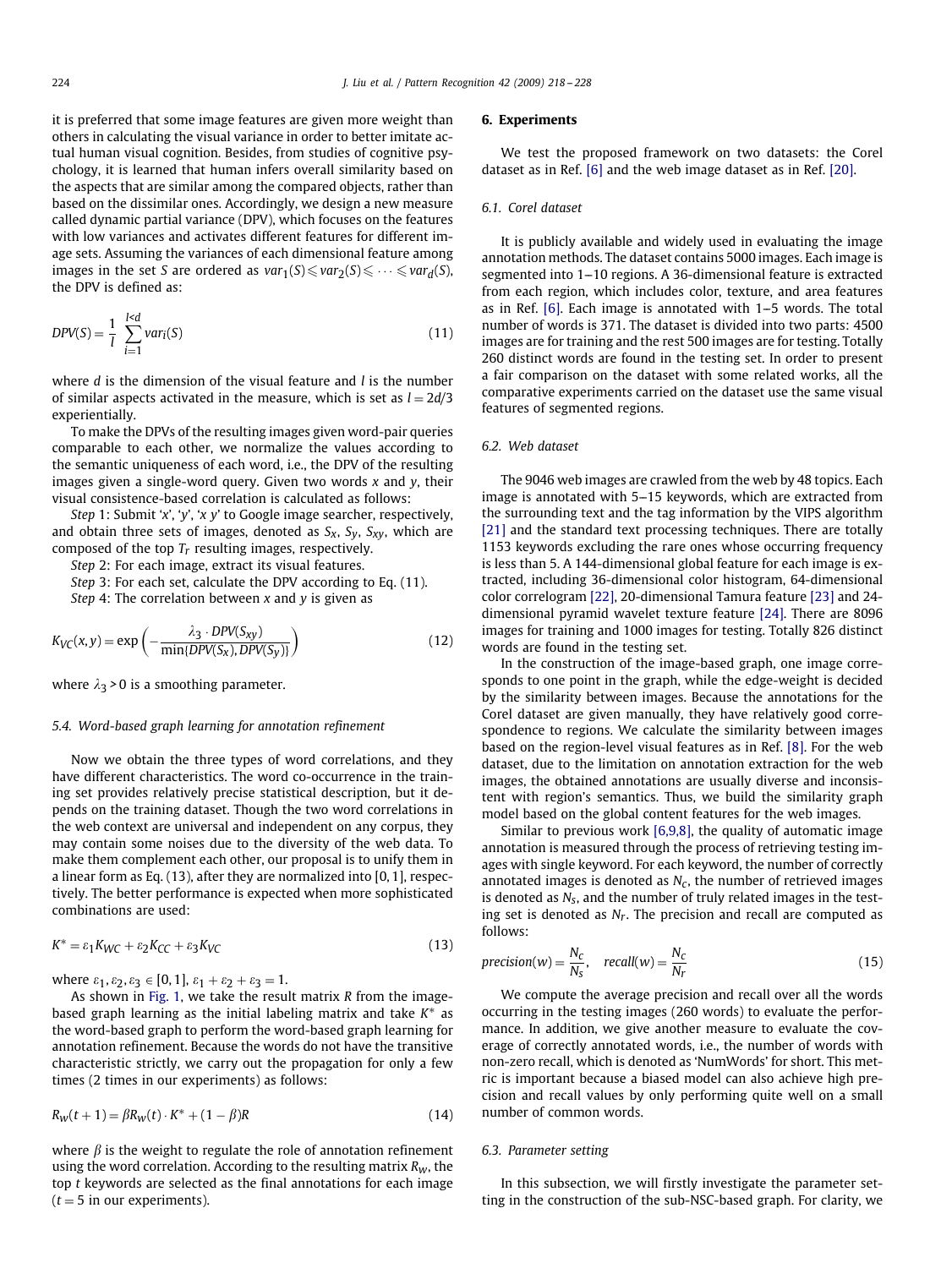it is preferred that some image features are given more weight than others in calculating the visual variance in order to better imitate actual human visual cognition. Besides, from studies of cognitive psychology, it is learned that human infers overall similarity based on the aspects that are similar among the compared objects, rather than based on the dissimilar ones. Accordingly, we design a new measure called dynamic partial variance (DPV), which focuses on the features with low variances and activates different features for different image sets. Assuming the variances of each dimensional feature among images in the set *S* are ordered as  $var_1(S) \leqslant var_2(S) \leqslant \cdots \leqslant var_d(S)$ , the DPV is defined as:

$$
DPV(S) = \frac{1}{l} \sum_{i=1}^{l < d} var_i(S) \tag{11}
$$

where *d* is the dimension of the visual feature and *l* is the number of similar aspects activated in the measure, which is set as  $l = 2d/3$ experientially.

To make the DPVs of the resulting images given word-pair queries comparable to each other, we normalize the values according to the semantic uniqueness of each word, i.e., the DPV of the resulting images given a single-word query. Given two words *x* and *y*, their visual consistence-based correlation is calculated as follows:

*Step* 1: Submit '*x*', '*y*', '*x y*' to Google image searcher, respectively, and obtain three sets of images, denoted as *Sx*, *Sy*, *Sxy*, which are composed of the top  $T_r$  resulting images, respectively.

*Step* 2: For each image, extract its visual features.

- *Step* 3: For each set, calculate the DPV according to Eq. (11).
- *Step* 4: The correlation between *x* and *y* is given as

$$
K_{VC}(x,y) = \exp\left(-\frac{\lambda_3 \cdot DPV(S_{xy})}{\min\{DPV(S_x), DPV(S_y)\}}\right) \tag{12}
$$

where  $\lambda_3 > 0$  is a smoothing parameter.

# *5.4. Word-based graph learning for annotation refinement*

Now we obtain the three types of word correlations, and they have different characteristics. The word co-occurrence in the training set provides relatively precise statistical description, but it depends on the training dataset. Though the two word correlations in the web context are universal and independent on any corpus, they may contain some noises due to the diversity of the web data. To make them complement each other, our proposal is to unify them in a linear form as Eq. (13), after they are normalized into [0, 1], respectively. The better performance is expected when more sophisticated combinations are used:

$$
K^* = \varepsilon_1 K_{WC} + \varepsilon_2 K_{CC} + \varepsilon_3 K_{VC}
$$
\n(13)

where  $\varepsilon_1, \varepsilon_2, \varepsilon_3 \in [0, 1]$ ,  $\varepsilon_1 + \varepsilon_2 + \varepsilon_3 = 1$ .

As shown in [Fig. 1,](#page-2-0) we take the result matrix *R* from the imagebased graph learning as the initial labeling matrix and take *K*<sup>∗</sup> as the word-based graph to perform the word-based graph learning for annotation refinement. Because the words do not have the transitive characteristic strictly, we carry out the propagation for only a few times (2 times in our experiments) as follows:

$$
R_W(t+1) = \beta R_W(t) \cdot K^* + (1 - \beta)R
$$
\n(14)

where  $\beta$  is the weight to regulate the role of annotation refinement using the word correlation. According to the resulting matrix *Rw*, the top *t* keywords are selected as the final annotations for each image  $(t = 5$  in our experiments).

# **6. Experiments**

We test the proposed framework on two datasets: the Corel dataset as in Ref. [\[6\]](#page-10-3) and the web image dataset as in Ref. [\[20\].](#page-10-17)

# *6.1. Corel dataset*

It is publicly available and widely used in evaluating the image annotation methods. The dataset contains 5000 images. Each image is segmented into 1-10 regions. A 36-dimensional feature is extracted from each region, which includes color, texture, and area features as in Ref.  $[6]$ . Each image is annotated with  $1-5$  words. The total number of words is 371. The dataset is divided into two parts: 4500 images are for training and the rest 500 images are for testing. Totally 260 distinct words are found in the testing set. In order to present a fair comparison on the dataset with some related works, all the comparative experiments carried on the dataset use the same visual features of segmented regions.

# *6.2. Web dataset*

The 9046 web images are crawled from the web by 48 topics. Each image is annotated with 5–15 keywords, which are extracted from the surrounding text and the tag information by the VIPS algorithm [\[21\]](#page-10-18) and the standard text processing techniques. There are totally 1153 keywords excluding the rare ones whose occurring frequency is less than 5. A 144-dimensional global feature for each image is extracted, including 36-dimensional color histogram, 64-dimensional color correlogram [\[22\],](#page-10-19) 20-dimensional Tamura feature [\[23\]](#page-10-20) and 24 dimensional pyramid wavelet texture feature [\[24\].](#page-10-21) There are 8096 images for training and 1000 images for testing. Totally 826 distinct words are found in the testing set.

In the construction of the image-based graph, one image corresponds to one point in the graph, while the edge-weight is decided by the similarity between images. Because the annotations for the Corel dataset are given manually, they have relatively good correspondence to regions. We calculate the similarity between images based on the region-level visual features as in Ref. [\[8\].](#page-10-5) For the web dataset, due to the limitation on annotation extraction for the web images, the obtained annotations are usually diverse and inconsistent with region's semantics. Thus, we build the similarity graph model based on the global content features for the web images.

Similar to previous work [6,9,8], the quality of automatic image annotation is measured through the process of retrieving testing images with single keyword. For each keyword, the number of correctly annotated images is denoted as  $N_c$ , the number of retrieved images is denoted as *Ns*, and the number of truly related images in the testing set is denoted as *Nr*. The precision and recall are computed as follows:

$$
precision(w) = \frac{N_c}{N_s}, \quad recall(w) = \frac{N_c}{N_r}
$$
\n(15)

We compute the average precision and recall over all the words occurring in the testing images (260 words) to evaluate the performance. In addition, we give another measure to evaluate the coverage of correctly annotated words, i.e., the number of words with non-zero recall, which is denoted as `NumWords' for short. This metric is important because a biased model can also achieve high precision and recall values by only performing quite well on a small number of common words.

# *6.3. Parameter setting*

In this subsection, we will firstly investigate the parameter setting in the construction of the sub-NSC-based graph. For clarity, we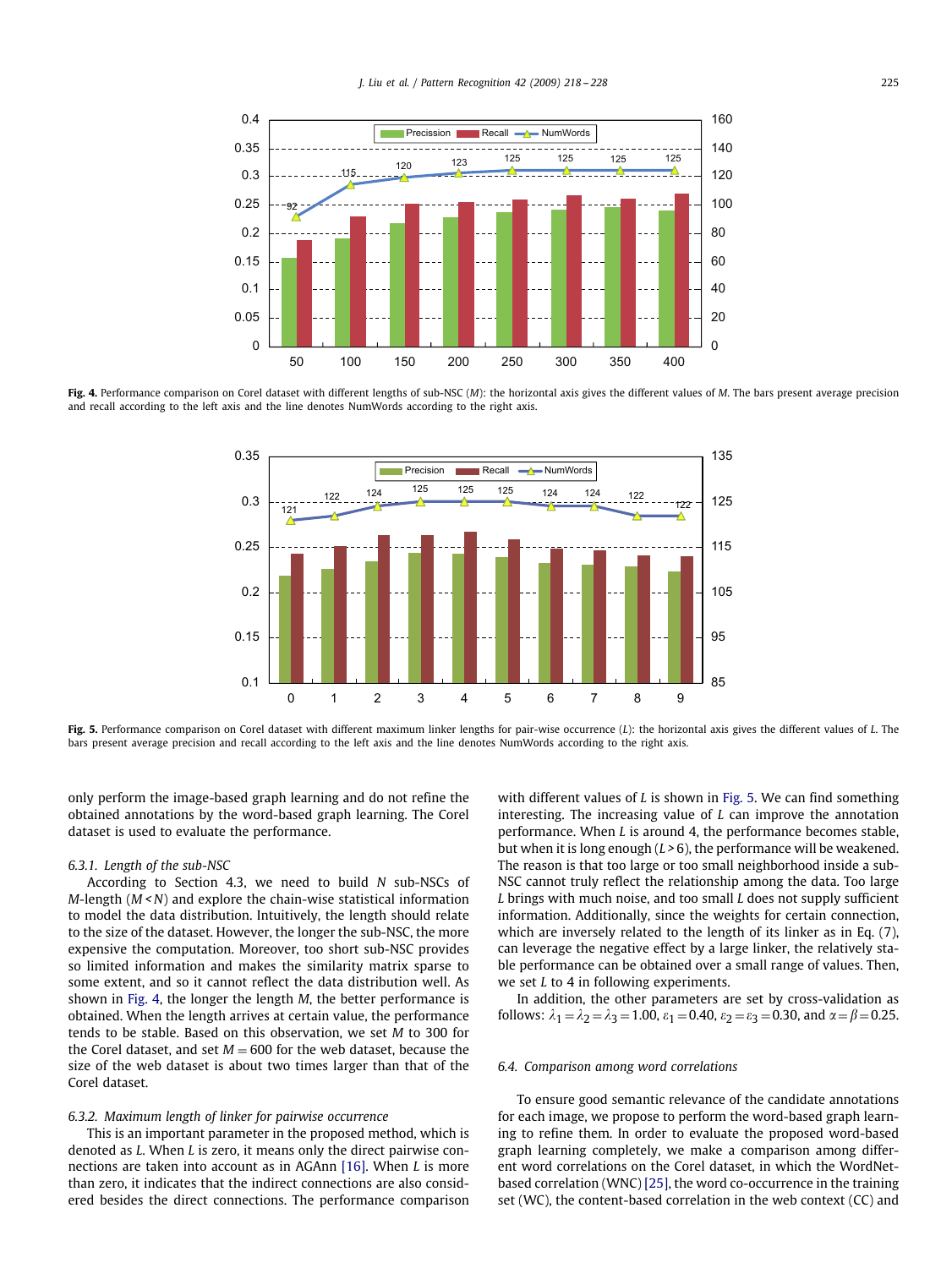

**Fig. 4.** Performance comparison on Corel dataset with different lengths of sub-NSC (*M*): the horizontal axis gives the different values of *M*. The bars present average precision and recall according to the left axis and the line denotes NumWords according to the right axis.

<span id="page-7-0"></span>

**Fig. 5.** Performance comparison on Corel dataset with different maximum linker lengths for pair-wise occurrence (*L*): the horizontal axis gives the different values of *L*. The bars present average precision and recall according to the left axis and the line denotes NumWords according to the right axis.

only perform the image-based graph learning and do not refine the obtained annotations by the word-based graph learning. The Corel dataset is used to evaluate the performance.

#### *6.3.1. Length of the sub-NSC*

According to Section 4.3, we need to build *N* sub-NSCs of *M*-length (*M<N*) and explore the chain-wise statistical information to model the data distribution. Intuitively, the length should relate to the size of the dataset. However, the longer the sub-NSC, the more expensive the computation. Moreover, too short sub-NSC provides so limited information and makes the similarity matrix sparse to some extent, and so it cannot reflect the data distribution well. As shown in [Fig. 4,](#page-7-0) the longer the length *M*, the better performance is obtained. When the length arrives at certain value, the performance tends to be stable. Based on this observation, we set *M* to 300 for the Corel dataset, and set  $M = 600$  for the web dataset, because the size of the web dataset is about two times larger than that of the Corel dataset.

# *6.3.2. Maximum length of linker for pairwise occurrence*

This is an important parameter in the proposed method, which is denoted as *L*. When *L* is zero, it means only the direct pairwise connections are taken into account as in AGAnn [\[16\].](#page-10-13) When *L* is more than zero, it indicates that the indirect connections are also considered besides the direct connections. The performance comparison <span id="page-7-1"></span>with different values of *L* is shown in [Fig. 5.](#page-7-1) We can find something interesting. The increasing value of *L* can improve the annotation performance. When *L* is around 4, the performance becomes stable, but when it is long enough (*L >* 6), the performance will be weakened. The reason is that too large or too small neighborhood inside a sub-NSC cannot truly reflect the relationship among the data. Too large *L* brings with much noise, and too small *L* does not supply sufficient information. Additionally, since the weights for certain connection, which are inversely related to the length of its linker as in Eq. (7), can leverage the negative effect by a large linker, the relatively stable performance can be obtained over a small range of values. Then, we set *L* to 4 in following experiments.

In addition, the other parameters are set by cross-validation as follows:  $\lambda_1 = \lambda_2 = \lambda_3 = 1.00$ ,  $\varepsilon_1 = 0.40$ ,  $\varepsilon_2 = \varepsilon_3 = 0.30$ , and  $\alpha = \beta = 0.25$ .

# *6.4. Comparison among word correlations*

To ensure good semantic relevance of the candidate annotations for each image, we propose to perform the word-based graph learning to refine them. In order to evaluate the proposed word-based graph learning completely, we make a comparison among different word correlations on the Corel dataset, in which the WordNetbased correlation (WNC) [\[25\],](#page-10-22) the word co-occurrence in the training set (WC), the content-based correlation in the web context (CC) and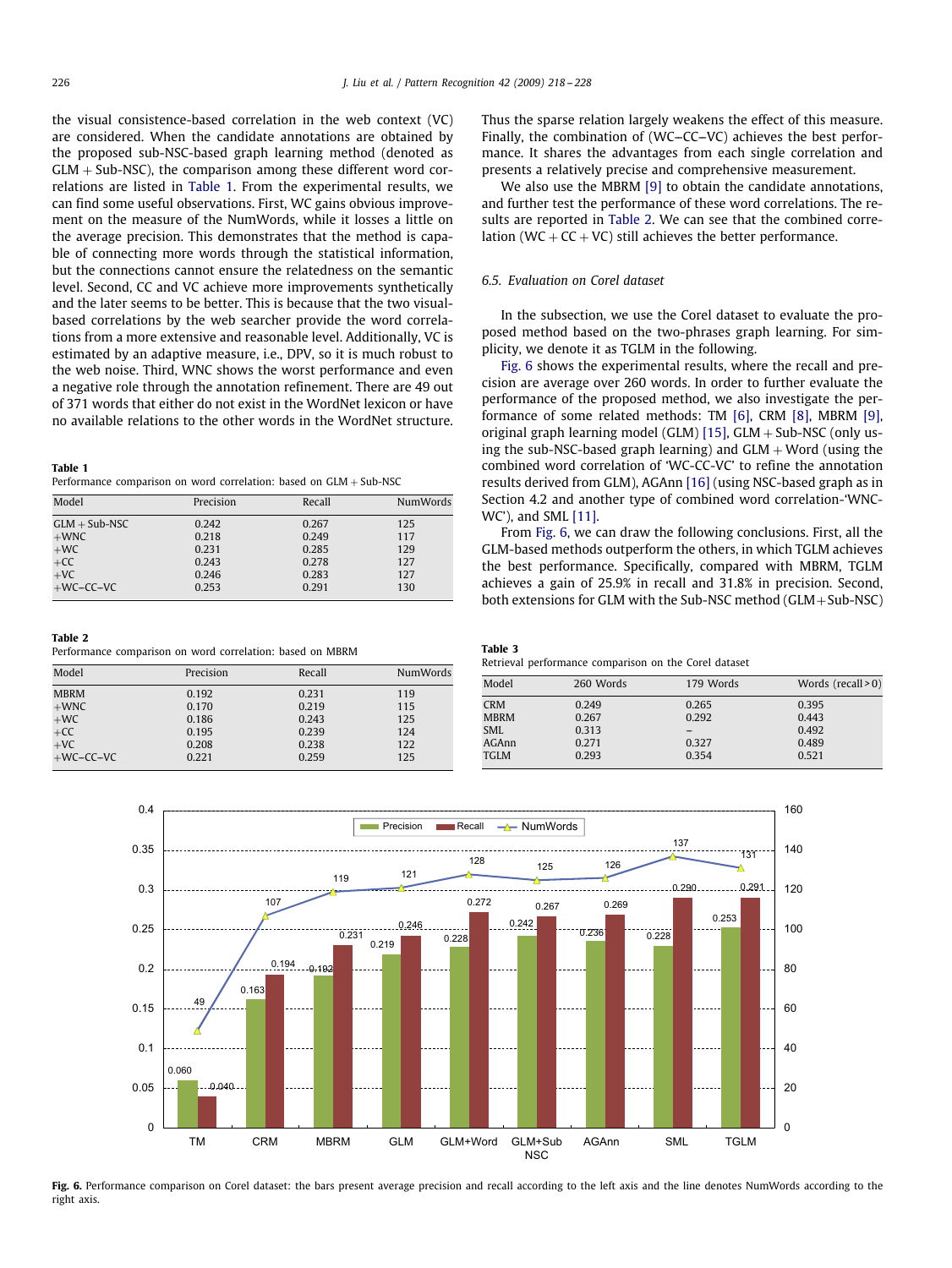the visual consistence-based correlation in the web context (VC) are considered. When the candidate annotations are obtained by the proposed sub-NSC-based graph learning method (denoted as  $GLM + Sub-NSC$ , the comparison among these different word correlations are listed in [Table 1.](#page-8-0) From the experimental results, we can find some useful observations. First, WC gains obvious improvement on the measure of the NumWords, while it losses a little on the average precision. This demonstrates that the method is capable of connecting more words through the statistical information, but the connections cannot ensure the relatedness on the semantic level. Second, CC and VC achieve more improvements synthetically and the later seems to be better. This is because that the two visualbased correlations by the web searcher provide the word correlations from a more extensive and reasonable level. Additionally, VC is estimated by an adaptive measure, i.e., DPV, so it is much robust to the web noise. Third, WNC shows the worst performance and even a negative role through the annotation refinement. There are 49 out of 371 words that either do not exist in the WordNet lexicon or have no available relations to the other words in the WordNet structure.

**Table 1**

Performance comparison on word correlation: based on GLM + Sub-NSC

| Model           | Precision | Recall | <b>NumWords</b> |
|-----------------|-----------|--------|-----------------|
| $GLM + Sub-NSC$ | 0.242     | 0.267  | 125             |
| $+$ WNC         | 0.218     | 0.249  | 117             |
| $+WC$           | 0.231     | 0.285  | 129             |
| $+CC$           | 0.243     | 0.278  | 127             |
| $+VC$           | 0.246     | 0.283  | 127             |
| $+WC-CC-VC$     | 0.253     | 0.291  | 130             |
|                 |           |        |                 |

#### **Table 2**

Performance comparison on word correlation: based on MBRM

| Model       | Precision | Recall | <b>NumWords</b> |
|-------------|-----------|--------|-----------------|
| <b>MBRM</b> | 0.192     | 0.231  | 119             |
| $+$ WNC     | 0.170     | 0.219  | 115             |
| $+WC$       | 0.186     | 0.243  | 125             |
| $+CC$       | 0.195     | 0.239  | 124             |
| $+VC$       | 0.208     | 0.238  | 122             |
| $+WC-CC-VC$ | 0.221     | 0.259  | 125             |
|             |           |        |                 |

Thus the sparse relation largely weakens the effect of this measure. Finally, the combination of (WC-CC-VC) achieves the best performance. It shares the advantages from each single correlation and presents a relatively precise and comprehensive measurement.

We also use the MBRM [\[9\]](#page-10-6) to obtain the candidate annotations, and further test the performance of these word correlations. The results are reported in [Table 2.](#page-8-1) We can see that the combined correlation (WC  $+$  CC  $+$  VC) still achieves the better performance.

# *6.5. Evaluation on Corel dataset*

In the subsection, we use the Corel dataset to evaluate the proposed method based on the two-phrases graph learning. For simplicity, we denote it as TGLM in the following.

[Fig. 6](#page-8-2) shows the experimental results, where the recall and precision are average over 260 words. In order to further evaluate the performance of the proposed method, we also investigate the performance of some related methods: TM [\[6\],](#page-10-3) CRM [\[8\],](#page-10-5) MBRM [\[9\],](#page-10-6) original graph learning model (GLM) [\[15\],](#page-10-12) GLM + Sub-NSC (only using the sub-NSC-based graph learning) and  $GLM + Word$  (using the combined word correlation of 'WC-CC-VC' to refine the annotation results derived from GLM), AGAnn [\[16\]](#page-10-13) (using NSC-based graph as in Section 4.2 and another type of combined word correlation-'WNC-WC'), and SML [\[11\].](#page-10-8)

<span id="page-8-0"></span>From [Fig. 6,](#page-8-2) we can draw the following conclusions. First, all the GLM-based methods outperform the others, in which TGLM achieves the best performance. Specifically, compared with MBRM, TGLM achieves a gain of 25.9% in recall and 31.8% in precision. Second, both extensions for GLM with the Sub-NSC method (GLM+Sub-NSC)

<span id="page-8-3"></span>**Table 3** Retrieval performance comparison on the Corel dataset

<span id="page-8-1"></span>

| Model       | 260 Words | 179 Words | Words ( $recall > 0$ ) |
|-------------|-----------|-----------|------------------------|
| <b>CRM</b>  | 0.249     | 0.265     | 0.395                  |
| <b>MBRM</b> | 0.267     | 0.292     | 0.443                  |
| <b>SML</b>  | 0.313     |           | 0.492                  |
| AGAnn       | 0.271     | 0.327     | 0.489                  |
| <b>TGLM</b> | 0.293     | 0.354     | 0.521                  |



<span id="page-8-2"></span>Fig. 6. Performance comparison on Corel dataset: the bars present average precision and recall according to the left axis and the line denotes NumWords according to the right axis.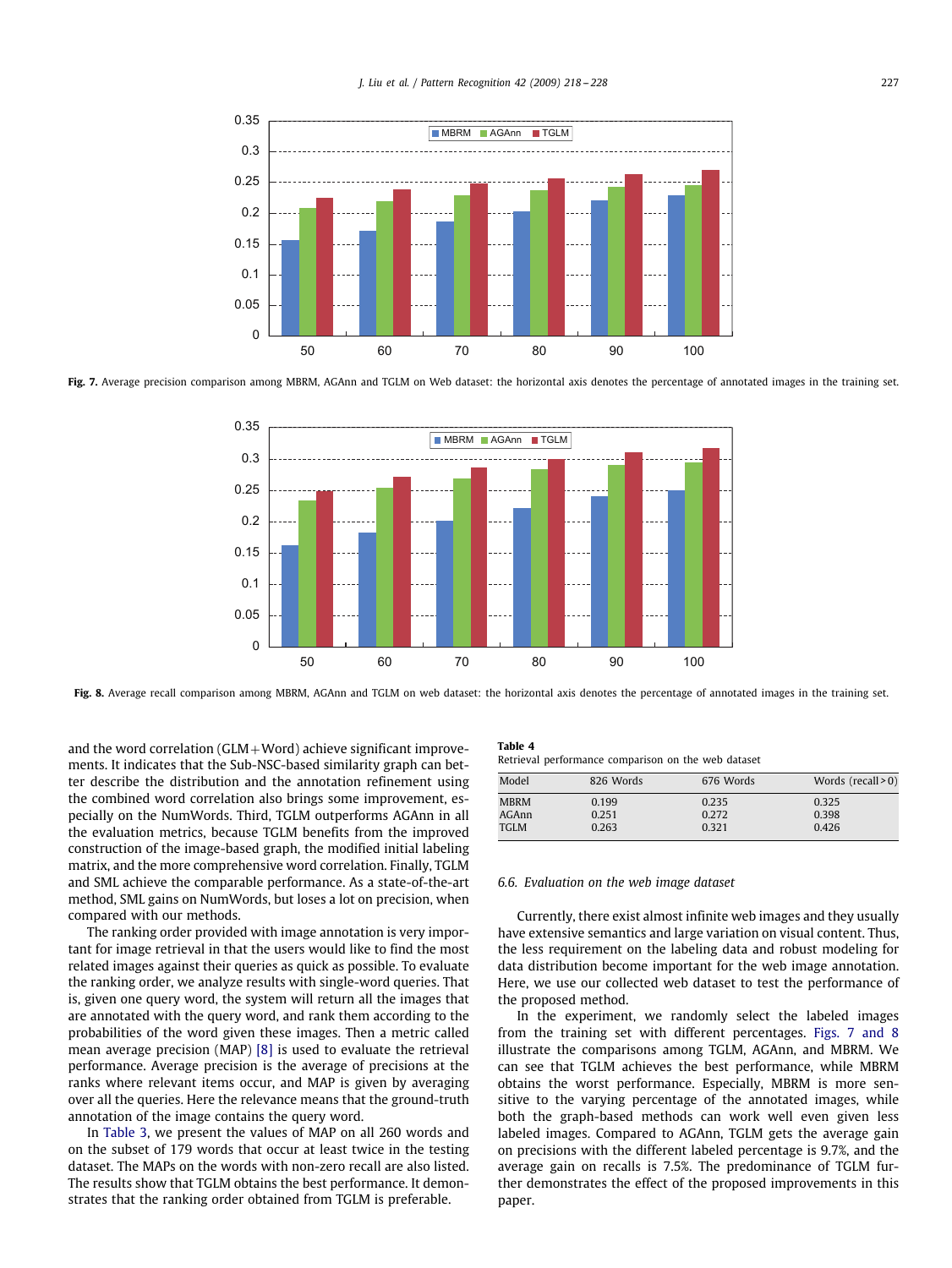

Fig. 7. Average precision comparison among MBRM, AGAnn and TGLM on Web dataset: the horizontal axis denotes the percentage of annotated images in the training set.



Fig. 8. Average recall comparison among MBRM, AGAnn and TGLM on web dataset: the horizontal axis denotes the percentage of annotated images in the training set.

and the word correlation  $(GLM+Word)$  achieve significant improvements. It indicates that the Sub-NSC-based similarity graph can better describe the distribution and the annotation refinement using the combined word correlation also brings some improvement, especially on the NumWords. Third, TGLM outperforms AGAnn in all the evaluation metrics, because TGLM benefits from the improved construction of the image-based graph, the modified initial labeling matrix, and the more comprehensive word correlation. Finally, TGLM and SML achieve the comparable performance. As a state-of-the-art method, SML gains on NumWords, but loses a lot on precision, when compared with our methods.

The ranking order provided with image annotation is very important for image retrieval in that the users would like to find the most related images against their queries as quick as possible. To evaluate the ranking order, we analyze results with single-word queries. That is, given one query word, the system will return all the images that are annotated with the query word, and rank them according to the probabilities of the word given these images. Then a metric called mean average precision (MAP) [\[8\]](#page-10-5) is used to evaluate the retrieval performance. Average precision is the average of precisions at the ranks where relevant items occur, and MAP is given by averaging over all the queries. Here the relevance means that the ground-truth annotation of the image contains the query word.

In [Table 3,](#page-8-3) we present the values of MAP on all 260 words and on the subset of 179 words that occur at least twice in the testing dataset. The MAPs on the words with non-zero recall are also listed. The results show that TGLM obtains the best performance. It demonstrates that the ranking order obtained from TGLM is preferable.

# <span id="page-9-0"></span>**Table 4** Retrieval performance comparison on the web dataset

| Model       | 826 Words | 676 Words | Words (recall $>0$ ) |
|-------------|-----------|-----------|----------------------|
| <b>MBRM</b> | 0.199     | 0.235     | 0.325                |
| AGAnn       | 0.251     | 0.272     | 0.398                |
| <b>TGLM</b> | 0.263     | 0.321     | 0.426                |

# *6.6. Evaluation on the web image dataset*

Currently, there exist almost infinite web images and they usually have extensive semantics and large variation on visual content. Thus, the less requirement on the labeling data and robust modeling for data distribution become important for the web image annotation. Here, we use our collected web dataset to test the performance of the proposed method.

In the experiment, we randomly select the labeled images from the training set with different percentages. Figs. 7 and 8 illustrate the comparisons among TGLM, AGAnn, and MBRM. We can see that TGLM achieves the best performance, while MBRM obtains the worst performance. Especially, MBRM is more sensitive to the varying percentage of the annotated images, while both the graph-based methods can work well even given less labeled images. Compared to AGAnn, TGLM gets the average gain on precisions with the different labeled percentage is 9.7%, and the average gain on recalls is 7.5%. The predominance of TGLM further demonstrates the effect of the proposed improvements in this paper.